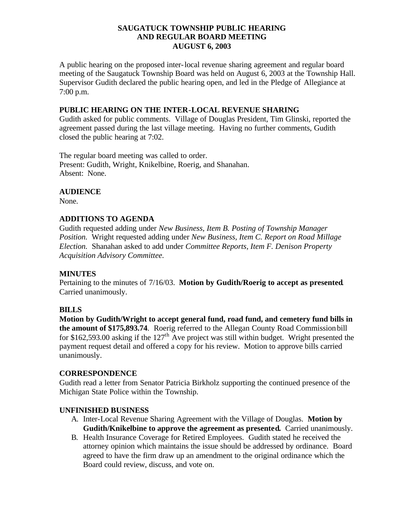## **SAUGATUCK TOWNSHIP PUBLIC HEARING AND REGULAR BOARD MEETING AUGUST 6, 2003**

A public hearing on the proposed inter-local revenue sharing agreement and regular board meeting of the Saugatuck Township Board was held on August 6, 2003 at the Township Hall. Supervisor Gudith declared the public hearing open, and led in the Pledge of Allegiance at 7:00 p.m.

#### **PUBLIC HEARING ON THE INTER-LOCAL REVENUE SHARING**

Gudith asked for public comments. Village of Douglas President, Tim Glinski, reported the agreement passed during the last village meeting. Having no further comments, Gudith closed the public hearing at 7:02.

The regular board meeting was called to order. Present: Gudith, Wright, Knikelbine, Roerig, and Shanahan. Absent: None.

# **AUDIENCE**

None.

## **ADDITIONS TO AGENDA**

Gudith requested adding under *New Business, Item B. Posting of Township Manager Position.* Wright requested adding under *New Business, Item C. Report on Road Millage Election.* Shanahan asked to add under *Committee Reports, Item F. Denison Property Acquisition Advisory Committee.*

# **MINUTES**

Pertaining to the minutes of 7/16/03. **Motion by Gudith/Roerig to accept as presented**. Carried unanimously.

# **BILLS**

**Motion by Gudith/Wright to accept general fund, road fund, and cemetery fund bills in the amount of \$175,893.74**. Roerig referred to the Allegan County Road Commission bill for \$162,593.00 asking if the  $127<sup>th</sup>$  Ave project was still within budget. Wright presented the payment request detail and offered a copy for his review. Motion to approve bills carried unanimously.

#### **CORRESPONDENCE**

Gudith read a letter from Senator Patricia Birkholz supporting the continued presence of the Michigan State Police within the Township.

# **UNFINISHED BUSINESS**

- A. Inter-Local Revenue Sharing Agreement with the Village of Douglas. **Motion by Gudith/Knikelbine to approve the agreement as presented.** Carried unanimously.
- B. Health Insurance Coverage for Retired Employees. Gudith stated he received the attorney opinion which maintains the issue should be addressed by ordinance. Board agreed to have the firm draw up an amendment to the original ordinance which the Board could review, discuss, and vote on.